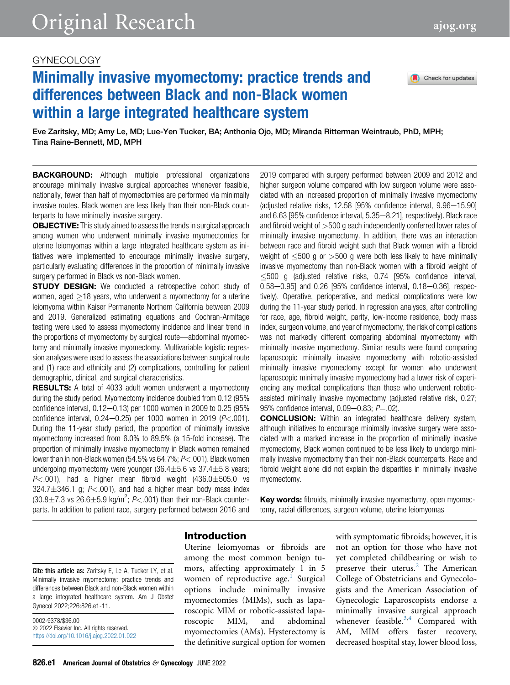# GYNECOLOGY

# Minimally invasive myomectomy: practice trends and differences between Black and non-Black women within a large integrated healthcare system



Eve Zaritsky, MD; Amy Le, MD; Lue-Yen Tucker, BA; Anthonia Ojo, MD; Miranda Ritterman Weintraub, PhD, MPH; Tina Raine-Bennett, MD, MPH

**BACKGROUND:** Although multiple professional organizations encourage minimally invasive surgical approaches whenever feasible, nationally, fewer than half of myomectomies are performed via minimally invasive routes. Black women are less likely than their non-Black counterparts to have minimally invasive surgery.

**OBJECTIVE:** This study aimed to assess the trends in surgical approach among women who underwent minimally invasive myomectomies for uterine leiomyomas within a large integrated healthcare system as initiatives were implemented to encourage minimally invasive surgery, particularly evaluating differences in the proportion of minimally invasive surgery performed in Black vs non-Black women.

**STUDY DESIGN:** We conducted a retrospective cohort study of women, aged  $>18$  years, who underwent a myomectomy for a uterine leiomyoma within Kaiser Permanente Northern California between 2009 and 2019. Generalized estimating equations and Cochran-Armitage testing were used to assess myomectomy incidence and linear trend in the proportions of myomectomy by surgical route—abdominal myomectomy and minimally invasive myomectomy. Multivariable logistic regression analyses were used to assess the associations between surgical route and (1) race and ethnicity and (2) complications, controlling for patient demographic, clinical, and surgical characteristics.

RESULTS: A total of 4033 adult women underwent a myomectomy during the study period. Myomectomy incidence doubled from 0.12 (95% confidence interval,  $0.12-0.13$ ) per 1000 women in 2009 to 0.25 (95% confidence interval,  $0.24-0.25$ ) per 1000 women in 2019 ( $P < .001$ ). During the 11-year study period, the proportion of minimally invasive myomectomy increased from 6.0% to 89.5% (a 15-fold increase). The proportion of minimally invasive myomectomy in Black women remained lower than in non-Black women  $(54.5\% \text{ vs } 64.7\%; P < .001)$ . Black women undergoing myomectomy were younger  $(36.4 \pm 5.6 \text{ vs } 37.4 \pm 5.8 \text{ years})$  $P<.001$ ), had a higher mean fibroid weight (436.0 $\pm$ 505.0 vs  $324.7 \pm 346.1$  g;  $P < .001$ ), and had a higher mean body mass index  $(30.8 \pm 7.3 \text{ vs } 26.6 \pm 5.9 \text{ kg/m}^2; P < .001)$  than their non-Black counter-<br>parts. In addition to patient race, surgery performed between 2016 and parts. In addition to patient race, surgery performed between 2016 and

2019 compared with surgery performed between 2009 and 2012 and higher surgeon volume compared with low surgeon volume were associated with an increased proportion of minimally invasive myomectomy (adjusted relative risks,  $12.58$   $195\%$  confidence interval,  $9.96 - 15.901$ and 6.63 [95% confidence interval, 5.35-8.21], respectively). Black race and fibroid weight of  $>500$  g each independently conferred lower rates of minimally invasive myomectomy. In addition, there was an interaction between race and fibroid weight such that Black women with a fibroid weight of  $<500$  g or  $>500$  g were both less likely to have minimally invasive myomectomy than non-Black women with a fibroid weight of 500 g (adjusted relative risks, 0.74 [95% confidence interval,  $0.58 - 0.95$ ] and  $0.26$  [95% confidence interval,  $0.18 - 0.36$ ], respectively). Operative, perioperative, and medical complications were low during the 11-year study period. In regression analyses, after controlling for race, age, fibroid weight, parity, low-income residence, body mass index, surgeon volume, and year of myomectomy, the risk of complications was not markedly different comparing abdominal myomectomy with minimally invasive myomectomy. Similar results were found comparing laparoscopic minimally invasive myomectomy with robotic-assisted minimally invasive myomectomy except for women who underwent laparoscopic minimally invasive myomectomy had a lower risk of experiencing any medical complications than those who underwent roboticassisted minimally invasive myomectomy (adjusted relative risk, 0.27; 95% confidence interval,  $0.09 - 0.83$ ;  $P = .02$ ).

CONCLUSION: Within an integrated healthcare delivery system, although initiatives to encourage minimally invasive surgery were associated with a marked increase in the proportion of minimally invasive myomectomy, Black women continued to be less likely to undergo minimally invasive myomectomy than their non-Black counterparts. Race and fibroid weight alone did not explain the disparities in minimally invasive myomectomy.

Key words: fibroids, minimally invasive myomectomy, open myomectomy, racial differences, surgeon volume, uterine leiomyomas

#### Introduction

among the most common benign tumors, affecting approximately 1 in 5 women of reproductive age.<sup>[1](#page-9-0)</sup> Surgical options include minimally invasive myomectomies (MIMs), such as laparoscopic MIM or robotic-assisted laparoscopic MIM, and abdominal myomectomies (AMs). Hysterectomy is the definitive surgical option for women Cite this article as: Zaritsky E, Le A, Tucker LY, et al. Minimally invasive myomectomy: practice trends and differences between Black and non-Black women within a large integrated healthcare system. Am J Obstet

Uterine leiomyomas or fibroids are

with symptomatic fibroids; however, it is not an option for those who have not yet completed childbearing or wish to preserve their uterus. $^{2}$  $^{2}$  $^{2}$  The American College of Obstetricians and Gynecologists and the American Association of Gynecologic Laparoscopists endorse a minimally invasive surgical approach whenever feasible. $3,4$  $3,4$  Compared with AM, MIM offers faster recovery, decreased hospital stay, lower blood loss,

Gynecol 2022;226:826.e1-11.

 $©$  2022 Elsevier Inc. All rights reserved. <https://doi.org/10.1016/j.ajog.2022.01.022>

0002-9378/\$36.00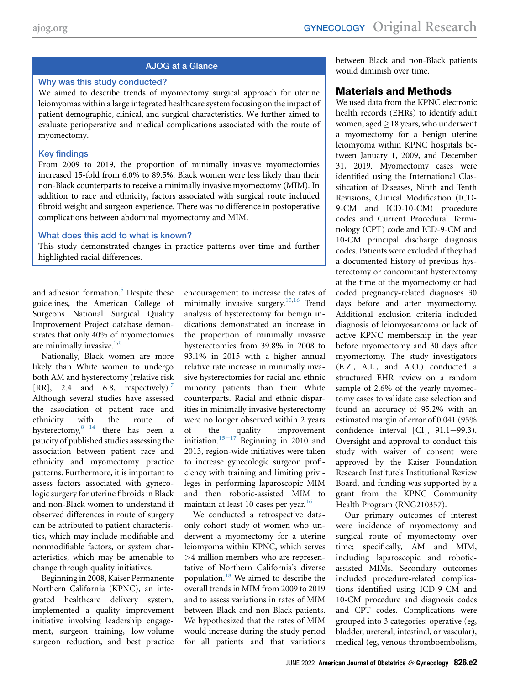# AJOG at a Glance

#### Why was this study conducted?

We aimed to describe trends of myomectomy surgical approach for uterine leiomyomas within a large integrated healthcare system focusing on the impact of patient demographic, clinical, and surgical characteristics. We further aimed to evaluate perioperative and medical complications associated with the route of myomectomy.

#### Key findings

From 2009 to 2019, the proportion of minimally invasive myomectomies increased 15-fold from 6.0% to 89.5%. Black women were less likely than their non-Black counterparts to receive a minimally invasive myomectomy (MIM). In addition to race and ethnicity, factors associated with surgical route included fibroid weight and surgeon experience. There was no difference in postoperative complications between abdominal myomectomy and MIM.

#### What does this add to what is known?

This study demonstrated changes in practice patterns over time and further highlighted racial differences.

and adhesion formation.<sup>[5](#page-9-4)</sup> Despite these guidelines, the American College of Surgeons National Surgical Quality Improvement Project database demonstrates that only 40% of myomectomies are minimally invasive.<sup>[5](#page-9-4),[6](#page-9-5)</sup>

Nationally, Black women are more likely than White women to undergo both AM and hysterectomy (relative risk  $[RR]$ , 2.4 and 6.8, respectively).<sup>[7](#page-9-6)</sup> Although several studies have assessed the association of patient race and ethnicity with the route of hysterectomy, $8-14$  $8-14$  there has been a paucity of published studies assessing the association between patient race and ethnicity and myomectomy practice patterns. Furthermore, it is important to assess factors associated with gynecologic surgery for uterine fibroids in Black and non-Black women to understand if observed differences in route of surgery can be attributed to patient characteristics, which may include modifiable and nonmodifiable factors, or system characteristics, which may be amenable to change through quality initiatives.

Beginning in 2008, Kaiser Permanente Northern California (KPNC), an integrated healthcare delivery system, implemented a quality improvement initiative involving leadership engagement, surgeon training, low-volume surgeon reduction, and best practice

encouragement to increase the rates of minimally invasive surgery.<sup>[15](#page-9-8)[,16](#page-9-9)</sup> Trend analysis of hysterectomy for benign indications demonstrated an increase in the proportion of minimally invasive hysterectomies from 39.8% in 2008 to 93.1% in 2015 with a higher annual relative rate increase in minimally invasive hysterectomies for racial and ethnic minority patients than their White counterparts. Racial and ethnic disparities in minimally invasive hysterectomy were no longer observed within 2 years of th[e](#page-9-8) quality improvement initiation.<sup>15-17</sup> Beginning in 2010 and 2013, region-wide initiatives were taken to increase gynecologic surgeon proficiency with training and limiting privileges in performing laparoscopic MIM and then robotic-assisted MIM to maintain at least 10 cases per year.<sup>[16](#page-9-9)</sup>

We conducted a retrospective dataonly cohort study of women who underwent a myomectomy for a uterine leiomyoma within KPNC, which serves >4 million members who are representative of Northern California's diverse population.[18](#page-9-10) We aimed to describe the overall trends in MIM from 2009 to 2019 and to assess variations in rates of MIM between Black and non-Black patients. We hypothesized that the rates of MIM would increase during the study period for all patients and that variations between Black and non-Black patients would diminish over time.

# Materials and Methods

We used data from the KPNC electronic health records (EHRs) to identify adult women, aged  $\geq$  18 years, who underwent a myomectomy for a benign uterine leiomyoma within KPNC hospitals between January 1, 2009, and December 31, 2019. Myomectomy cases were identified using the International Classification of Diseases, Ninth and Tenth Revisions, Clinical Modification (ICD-9-CM and ICD-10-CM) procedure codes and Current Procedural Terminology (CPT) code and ICD-9-CM and 10-CM principal discharge diagnosis codes. Patients were excluded if they had a documented history of previous hysterectomy or concomitant hysterectomy at the time of the myomectomy or had coded pregnancy-related diagnoses 30 days before and after myomectomy. Additional exclusion criteria included diagnosis of leiomyosarcoma or lack of active KPNC membership in the year before myomectomy and 30 days after myomectomy. The study investigators (E.Z., A.L., and A.O.) conducted a structured EHR review on a random sample of 2.6% of the yearly myomectomy cases to validate case selection and found an accuracy of 95.2% with an estimated margin of error of 0.041 (95% confidence interval  $[CI]$ , 91.1-99.3). Oversight and approval to conduct this study with waiver of consent were approved by the Kaiser Foundation Research Institute's Institutional Review Board, and funding was supported by a grant from the KPNC Community Health Program (RNG210357).

Our primary outcomes of interest were incidence of myomectomy and surgical route of myomectomy over time; specifically, AM and MIM, including laparoscopic and roboticassisted MIMs. Secondary outcomes included procedure-related complications identified using ICD-9-CM and 10-CM procedure and diagnosis codes and CPT codes. Complications were grouped into 3 categories: operative (eg, bladder, ureteral, intestinal, or vascular), medical (eg, venous thromboembolism,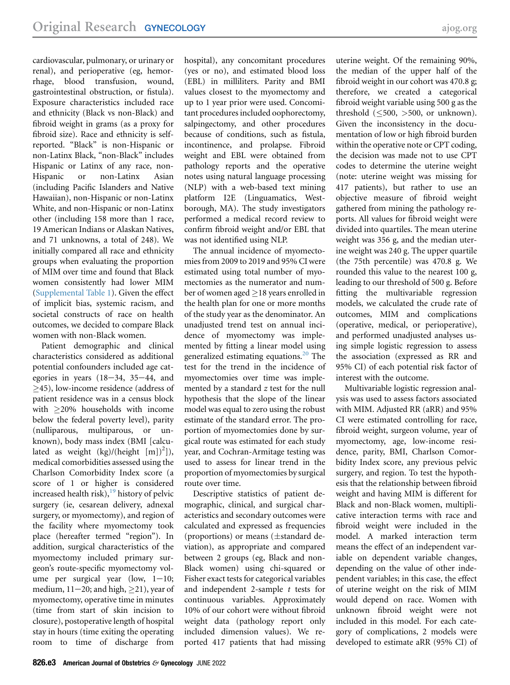cardiovascular, pulmonary, or urinary or renal), and perioperative (eg, hemorrhage, blood transfusion, wound, gastrointestinal obstruction, or fistula). Exposure characteristics included race and ethnicity (Black vs non-Black) and fibroid weight in grams (as a proxy for fibroid size). Race and ethnicity is selfreported. "Black" is non-Hispanic or non-Latinx Black, "non-Black" includes Hispanic or Latinx of any race, non-Hispanic or non-Latinx Asian (including Pacific Islanders and Native Hawaiian), non-Hispanic or non-Latinx White, and non-Hispanic or non-Latinx other (including 158 more than 1 race, 19 American Indians or Alaskan Natives, and 71 unknowns, a total of 248). We initially compared all race and ethnicity groups when evaluating the proportion of MIM over time and found that Black women consistently had lower MIM [\(Supplemental Table 1\)](#page-10-0). Given the effect of implicit bias, systemic racism, and societal constructs of race on health outcomes, we decided to compare Black women with non-Black women.

Patient demographic and clinical characteristics considered as additional potential confounders included age categories in years  $(18-34, 35-44, and)$ 45), low-income residence (address of patient residence was in a census block with 20% households with income below the federal poverty level), parity (nulliparous, multiparous, or unknown), body mass index (BMI [calculated as weight  $(kg)/(height [m])^2]$ ), medical comorbidities assessed using the Charlson Comorbidity Index score (a score of 1 or higher is considered increased health risk), $19$  history of pelvic surgery (ie, cesarean delivery, adnexal surgery, or myomectomy), and region of the facility where myomectomy took place (hereafter termed "region"). In addition, surgical characteristics of the myomectomy included primary surgeon's route-specific myomectomy volume per surgical year (low,  $1-10$ ; medium,  $11-20$ ; and high,  $\geq$ 21), year of myomectomy, operative time in minutes (time from start of skin incision to closure), postoperative length of hospital stay in hours (time exiting the operating room to time of discharge from

hospital), any concomitant procedures (yes or no), and estimated blood loss (EBL) in milliliters. Parity and BMI values closest to the myomectomy and up to 1 year prior were used. Concomitant procedures included oophorectomy, salpingectomy, and other procedures because of conditions, such as fistula, incontinence, and prolapse. Fibroid weight and EBL were obtained from pathology reports and the operative notes using natural language processing (NLP) with a web-based text mining platform I2E (Linguamatics, Westborough, MA). The study investigators performed a medical record review to confirm fibroid weight and/or EBL that was not identified using NLP.

The annual incidence of myomectomies from 2009 to 2019 and 95% CI were estimated using total number of myomectomies as the numerator and number of women aged  $\geq$  18 years enrolled in the health plan for one or more months of the study year as the denominator. An unadjusted trend test on annual incidence of myomectomy was implemented by fitting a linear model using generalized estimating equations.<sup>[20](#page-9-12)</sup> The test for the trend in the incidence of myomectomies over time was implemented by a standard z test for the null hypothesis that the slope of the linear model was equal to zero using the robust estimate of the standard error. The proportion of myomectomies done by surgical route was estimated for each study year, and Cochran-Armitage testing was used to assess for linear trend in the proportion of myomectomies by surgical route over time.

Descriptive statistics of patient demographic, clinical, and surgical characteristics and secondary outcomes were calculated and expressed as frequencies (proportions) or means  $(\pm$ standard deviation), as appropriate and compared between 2 groups (eg, Black and non-Black women) using chi-squared or Fisher exact tests for categorical variables and independent 2-sample  $t$  tests for continuous variables. Approximately 10% of our cohort were without fibroid weight data (pathology report only included dimension values). We reported 417 patients that had missing

uterine weight. Of the remaining 90%, the median of the upper half of the fibroid weight in our cohort was 470.8 g; therefore, we created a categorical fibroid weight variable using 500 g as the threshold  $(\leq 500, >500,$  or unknown). Given the inconsistency in the documentation of low or high fibroid burden within the operative note or CPT coding, the decision was made not to use CPT codes to determine the uterine weight (note: uterine weight was missing for 417 patients), but rather to use an objective measure of fibroid weight gathered from mining the pathology reports. All values for fibroid weight were divided into quartiles. The mean uterine weight was 356 g, and the median uterine weight was 240 g. The upper quartile (the 75th percentile) was 470.8 g. We rounded this value to the nearest 100 g, leading to our threshold of 500 g. Before fitting the multivariable regression models, we calculated the crude rate of outcomes, MIM and complications (operative, medical, or perioperative), and performed unadjusted analyses using simple logistic regression to assess the association (expressed as RR and 95% CI) of each potential risk factor of interest with the outcome.

Multivariable logistic regression analysis was used to assess factors associated with MIM. Adjusted RR (aRR) and 95% CI were estimated controlling for race, fibroid weight, surgeon volume, year of myomectomy, age, low-income residence, parity, BMI, Charlson Comorbidity Index score, any previous pelvic surgery, and region. To test the hypothesis that the relationship between fibroid weight and having MIM is different for Black and non-Black women, multiplicative interaction terms with race and fibroid weight were included in the model. A marked interaction term means the effect of an independent variable on dependent variable changes, depending on the value of other independent variables; in this case, the effect of uterine weight on the risk of MIM would depend on race. Women with unknown fibroid weight were not included in this model. For each category of complications, 2 models were developed to estimate aRR (95% CI) of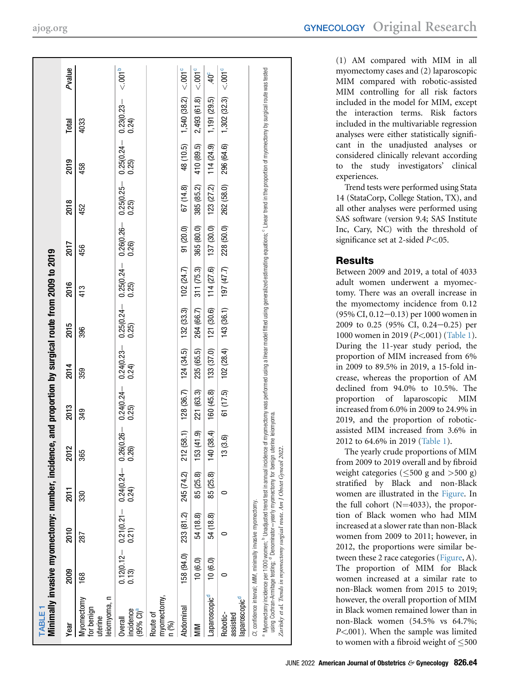<span id="page-3-0"></span>

| <b>TABLE</b>                                                                                                                                   |            | Minimally invasive myomectomy: number, incidence, and proportion by surgical route from 2009 to 2019                                                                                                                                                                                                                                                        |            |                          |                                                       |            |                                     |                        |                       |                        |                             |                         |                     |
|------------------------------------------------------------------------------------------------------------------------------------------------|------------|-------------------------------------------------------------------------------------------------------------------------------------------------------------------------------------------------------------------------------------------------------------------------------------------------------------------------------------------------------------|------------|--------------------------|-------------------------------------------------------|------------|-------------------------------------|------------------------|-----------------------|------------------------|-----------------------------|-------------------------|---------------------|
| year                                                                                                                                           | 2009       | 2010                                                                                                                                                                                                                                                                                                                                                        | 2011       | 2012                     | 2013                                                  | 2014       | 2015                                | 2016                   | 2017                  | 2018                   | 2019                        | Total                   | Pvalue              |
| $\equiv$<br>Myomectomy<br>eiomyoma,<br>for benign<br>tterine                                                                                   | 168        | 287                                                                                                                                                                                                                                                                                                                                                         | 330        | 365                      | 349                                                   | 359        | 396                                 | 413                    | 456                   | 452                    | 458                         | 4033                    |                     |
| ncidence<br>(95% CI) <sup>a</sup><br>Overall                                                                                                   | 0.13)      | $\begin{array}{ccc} 0.12(0.12--&0.21(0.21--&0.24(0.24--&0.13)&0.21)\ 0.13)\ 0.21\end{array}$                                                                                                                                                                                                                                                                |            |                          | $0.26(0.26 - 0.24(0.24 - 0.24(0.23 - 0.25))$<br>0.25) |            | $0.25(0.24 -$<br>0.25               | $0.25(0.24 -$<br>0.25) | $0.26(0.26 -$<br>0.26 | $0.25(0.25 -$<br>0.25) | $\frac{0.25(0.24 -}{0.25)}$ | $0.23(0.23 - 0.24)$     | < .001 <sup>b</sup> |
| myomectomy,<br>n (%)<br>Route of                                                                                                               |            |                                                                                                                                                                                                                                                                                                                                                             |            |                          |                                                       |            |                                     |                        |                       |                        |                             |                         |                     |
| Abdominal                                                                                                                                      | 158 (94.0) | 233 (81.2)                                                                                                                                                                                                                                                                                                                                                  | 245 (74.2) | 212                      | $(58.1)$ 128 $(36.7)$                                 | 124 (34.5) | 132 (33.3)                          | 102 (24.7)             | 91 (20.0)             | 67 (14.8)              | 48 (10.5)                   | 1,540 (38.2)            | < 0.001             |
| MIN                                                                                                                                            | 10(6.0)    | 54 (18.8)                                                                                                                                                                                                                                                                                                                                                   | 85 (25.8)  | (41.9)<br>153            | 221 (63.3)                                            | 235 (65.5) | 264 (66.7)                          | 311 (75.3)             | 365 (80.0)            | 385 (85.2)             | 410 (89.5)                  | 2,493 (61.8)            | $< .001^c$          |
| Laparoscopic <sup>d</sup>                                                                                                                      | 10(6.0)    | 54 (18.8)                                                                                                                                                                                                                                                                                                                                                   | 85 (25.8)  | (38.4)<br>$\frac{40}{5}$ | 160 (45.8)                                            | 133 (37.0) | 121 (30.6)                          | 114 (27.6)             | 137 (30.0)            | 123 (27.2)             | 114(24.9)                   | 1,191 (29.5)            | $40^\circ$          |
| laparoscopic <sup>d</sup><br>Robotic-<br>assisted                                                                                              | 0          | 0                                                                                                                                                                                                                                                                                                                                                           | 0          | (3.6)<br>$\frac{3}{2}$   | 61 (17.5)                                             |            | $102(28.4)$ $143(36.1)$ $197(47.7)$ |                        | 228 (50.0)            | 262 (58.0)             |                             | 296 (64.6) 1,302 (32.3) | $< .001^{\circ}$    |
| Zaritsky et al. Trends in myomectomy surgical route. Am J Obstet Gynecol 2022.<br>CI, confidence interval; MIM, minimally invasive myomectomy. |            | Myomectomy incidence per 1000 women; <sup>b</sup> Unadjusted trend test in annual incidence of myomectomy was performed using a linear model fitted using generalized estimations; <sup>c</sup> Linear trend in the proportion of myomedomy by s<br>using Cochran-Armitage testing; <sup>d</sup> Denominator=yearly myomectomy for benign uterine leiomyoma |            |                          |                                                       |            |                                     |                        |                       |                        |                             |                         |                     |

<span id="page-3-2"></span><span id="page-3-1"></span>(1) AM compared with MIM in all myomectomy cases and (2) laparoscopic MIM compared with robotic-assisted MIM controlling for all risk factors included in the model for MIM, except the interaction terms. Risk factors included in the multivariable regression analyses were either statistically significant in the unadjusted analyses or considered clinically relevant according to the study investigators' clinical experiences.

Trend tests were performed using Stata 14 (StataCorp, College Station, TX), and all other analyses were performed using SAS software (version 9.4; SAS Institute Inc, Cary, NC) with the threshold of significance set at 2-sided *P<.*05.

# Results

Between 2009 and 2019, a total of 4033 adult women underwent a myomectomy. There was an overall increase in the myomectomy incidence from 0.12  $(95\% \text{ CI}, 0.12-0.13)$  per 1000 women in 2009 to 0.25 (95% CI, 0.24 $-0.25$ ) per 1000 women in 2019 (*P<*.001) ([Table 1\)](#page-3-0). During the 11-year study period, the proportion of MIM increased from 6% in 2009 to 89.5% in 2019, a 15-fold increase, whereas the proportion of AM declined from 94.0% to 10.5%. The proportion of laparoscopic MIM increased from 6.0% in 2009 to 24.9% in 2019, and the proportion of roboticassisted MIM increased from 3.6% in 2012 to 64.6% in 2019 [\(Table 1](#page-3-0)).

The yearly crude proportions of MIM from 2009 to 2019 overall and by fibroid weight categories ( $\leq 500$  g and  $> 500$  g) stratified by Black and non-Black women are illustrated in the [Figure](#page-4-0). In the full cohort  $(N=4033)$ , the proportion of Black women who had MIM increased at a slower rate than non-Black women from 2009 to 2011; however, in 2012, the proportions were similar between these 2 race categories [\(Figure](#page-4-0), A). The proportion of MIM for Black women increased at a similar rate to non-Black women from 2015 to 2019; however, the overall proportion of MIM in Black women remained lower than in non-Black women (54.5% vs 64.7%;  $P<.001$ ). When the sample was limited to women with a fibroid weight of  $\leq 500$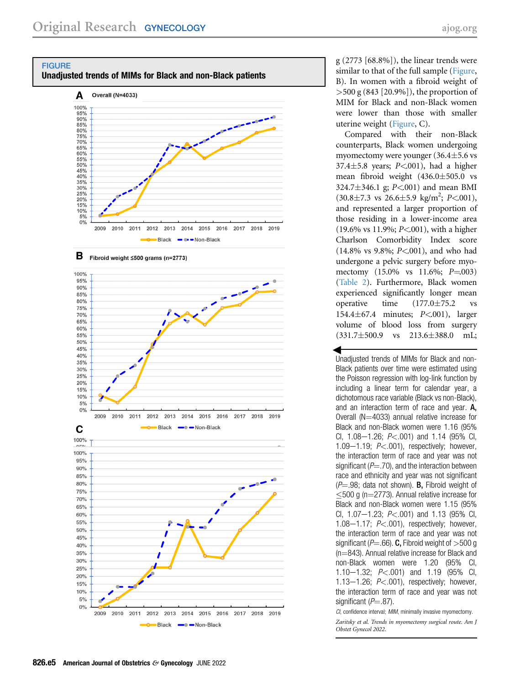<span id="page-4-0"></span>





g (2773 [68.8%]), the linear trends were similar to that of the full sample [\(Figure,](#page-4-0) B). In women with a fibroid weight of >500 g (843 [20.9%]), the proportion of MIM for Black and non-Black women were lower than those with smaller uterine weight [\(Figure,](#page-4-0) C).

Compared with their non-Black counterparts, Black women undergoing myomectomy were younger  $(36.4 \pm 5.6 \text{ vs }$ 37.4 $\pm$ 5.8 years; P<.001), had a higher mean fibroid weight  $(436.0 \pm 505.0 \text{ vs }$ 324.7 $\pm$ 346.1 g; P<.001) and mean BMI  $(30.8 \pm 7.3 \text{ vs } 26.6 \pm 5.9 \text{ kg/m}^2; P<.001)$ , and represented a larger proportion of those residing in a lower-income area (19.6% vs 11.9%; P<.001), with a higher Charlson Comorbidity Index score (14.8% vs 9.8%; P<.001), and who had undergone a pelvic surgery before myomectomy  $(15.0\% \text{ vs } 11.6\%; P = 0.03)$ [\(Table 2](#page-5-0)). Furthermore, Black women experienced significantly longer mean operative time  $(177.0 \pm 75.2$  vs 154.467.4 minutes; P<.001), larger volume of blood loss from surgery  $(331.7 \pm 500.9 \text{ vs } 213.6 \pm 388.0 \text{ mL};$ 

= Unadjusted trends of MIMs for Black and non-Black patients over time were estimated using the Poisson regression with log-link function by including a linear term for calendar year, a dichotomous race variable (Black vs non-Black), and an interaction term of race and year. A, Overall ( $N=4033$ ) annual relative increase for Black and non-Black women were 1.16 (95% CI, 1.08-1.26;  $P < .001$ ) and 1.14 (95% CI, 1.09 $-1.19$ ;  $P < .001$ ), respectively; however, the interaction term of race and year was not significant ( $P = 0.70$ ), and the interaction between race and ethnicity and year was not significant  $(P=.98;$  data not shown). **B**, Fibroid weight of  $\leq$ 500 g (n=2773). Annual relative increase for Black and non-Black women were 1.15 (95% CI,  $1.07 - 1.23$ ;  $P < .001$ ) and  $1.13$  (95% CI, 1.08 $-1.17$ ;  $P < .001$ ), respectively; however, the interaction term of race and year was not significant ( $P = .66$ ). C, Fibroid weight of  $>500$  g  $(n=843)$ . Annual relative increase for Black and non-Black women were 1.20 (95% CI, 1.10–1.32;  $P < .001$ ) and 1.19 (95% CI, 1.13-1.26;  $P<.001$ ), respectively; however, the interaction term of race and year was not significant  $(P=.87)$ .

CI, confidence interval; MIM, minimally invasive myomectomy. Zaritsky et al. Trends in myomectomy surgical route. Am J Obstet Gynecol 2022.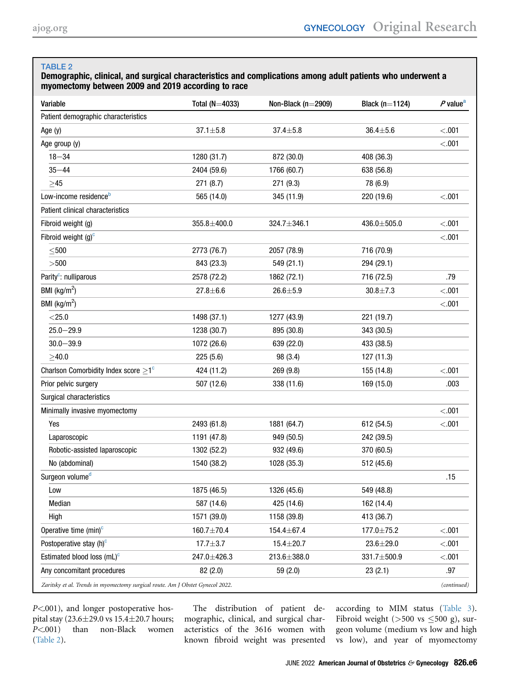# <span id="page-5-0"></span>TABLE 2

#### Demographic, clinical, and surgical characteristics and complications among adult patients who underwent a myomectomy between 2009 and 2019 according to race

| Variable                                                                       | Total ( $N=4033$ ) | Non-Black ( $n=2909$ ) | Black ( $n=1124$ ) | $P$ value <sup>a</sup> |
|--------------------------------------------------------------------------------|--------------------|------------------------|--------------------|------------------------|
| Patient demographic characteristics                                            |                    |                        |                    |                        |
| Age (y)                                                                        | $37.1 + 5.8$       | $37.4 \pm 5.8$         | $36.4 + 5.6$       | < .001                 |
| Age group (y)                                                                  |                    |                        |                    | < .001                 |
| $18 - 34$                                                                      | 1280 (31.7)        | 872 (30.0)             | 408 (36.3)         |                        |
| $35 - 44$                                                                      | 2404 (59.6)        | 1766 (60.7)            | 638 (56.8)         |                        |
| $\geq$ 45                                                                      | 271 (8.7)          | 271 (9.3)              | 78 (6.9)           |                        |
| Low-income residence <sup>b</sup>                                              | 565 (14.0)         | 345 (11.9)             | 220 (19.6)         | < .001                 |
| Patient clinical characteristics                                               |                    |                        |                    |                        |
| Fibroid weight (g)                                                             | $355.8 + 400.0$    | 324.7±346.1            | 436.0±505.0        | < 0.001                |
| Fibroid weight $(g)^c$                                                         |                    |                        |                    | < .001                 |
| $\leq$ 500                                                                     | 2773 (76.7)        | 2057 (78.9)            | 716 (70.9)         |                        |
| >500                                                                           | 843 (23.3)         | 549 (21.1)             | 294 (29.1)         |                        |
| Parity <sup>c</sup> : nulliparous                                              | 2578 (72.2)        | 1862 (72.1)            | 716 (72.5)         | .79                    |
| BMI ( $\text{kg/m}^2$ )                                                        | $27.8 + 6.6$       | $26.6 + 5.9$           | $30.8 \pm 7.3$     | < .001                 |
| BMI ( $\text{kg/m}^2$ )                                                        |                    |                        |                    | < .001                 |
| $<$ 25.0                                                                       | 1498 (37.1)        | 1277 (43.9)            | 221 (19.7)         |                        |
| $25.0 - 29.9$                                                                  | 1238 (30.7)        | 895 (30.8)             | 343 (30.5)         |                        |
| $30.0 - 39.9$                                                                  | 1072 (26.6)        | 639 (22.0)             | 433 (38.5)         |                        |
| $\geq 40.0$                                                                    | 225(5.6)           | 98 (3.4)               | 127 (11.3)         |                        |
| Charlson Comorbidity Index score $\geq 1^c$                                    | 424 (11.2)         | 269 (9.8)              | 155 (14.8)         | < .001                 |
| Prior pelvic surgery                                                           | 507 (12.6)         | 338 (11.6)             | 169 (15.0)         | .003                   |
| Surgical characteristics                                                       |                    |                        |                    |                        |
| Minimally invasive myomectomy                                                  |                    |                        |                    | < .001                 |
| Yes                                                                            | 2493 (61.8)        | 1881 (64.7)            | 612 (54.5)         | < .001                 |
| Laparoscopic                                                                   | 1191 (47.8)        | 949 (50.5)             | 242 (39.5)         |                        |
| Robotic-assisted laparoscopic                                                  | 1302 (52.2)        | 932 (49.6)             | 370 (60.5)         |                        |
| No (abdominal)                                                                 | 1540 (38.2)        | 1028 (35.3)            | 512 (45.6)         |                        |
| Surgeon volume <sup>d</sup>                                                    |                    |                        |                    | .15                    |
| Low                                                                            | 1875 (46.5)        | 1326 (45.6)            | 549 (48.8)         |                        |
| Median                                                                         | 587 (14.6)         | 425 (14.6)             | 162 (14.4)         |                        |
| High                                                                           | 1571 (39.0)        | 1158 (39.8)            | 413 (36.7)         |                        |
| Operative time (min) <sup>c</sup>                                              | 160.7±70.4         | 154.4±67.4             | 177.0±75.2         | < .001                 |
| Postoperative stay (h) <sup>c</sup>                                            | $17.7 + 3.7$       | $15.4 + 20.7$          | $23.6 \pm 29.0$    | < .001                 |
| Estimated blood loss $(mL)^c$                                                  | 247.0±426.3        | 213.6±388.0            | 331.7±500.9        | < .001                 |
| Any concomitant procedures                                                     | 82 (2.0)           | 59 (2.0)               | 23(2.1)            | .97                    |
| Zaritsky et al. Trends in myomectomy surgical route. Am J Obstet Gynecol 2022. |                    |                        |                    | (continued)            |

P<.001), and longer postoperative hospital stay  $(23.6 \pm 29.0 \text{ vs } 15.4 \pm 20.7 \text{ hours})$ P<.001) than non-Black women [\(Table 2](#page-5-0)).

The distribution of patient demographic, clinical, and surgical characteristics of the 3616 women with known fibroid weight was presented according to MIM status [\(Table 3\)](#page-7-0). Fibroid weight ( $>500$  vs  $\leq 500$  g), surgeon volume (medium vs low and high vs low), and year of myomectomy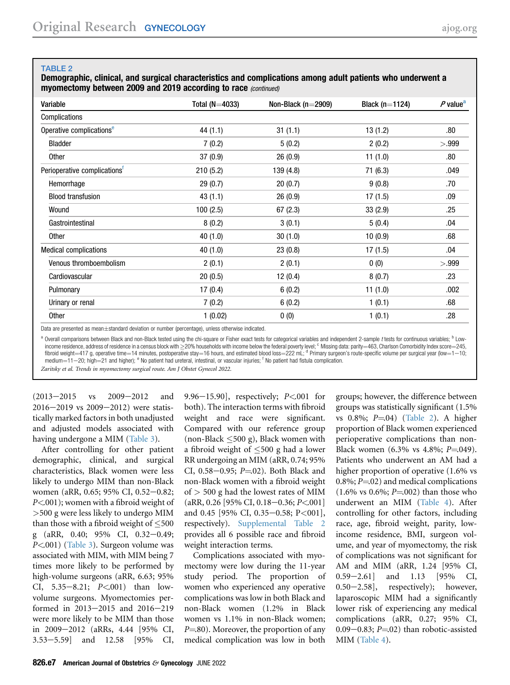#### TABLE 2

Demographic, clinical, and surgical characteristics and complications among adult patients who underwent a myomectomy between 2009 and 2019 according to race (continued)

| Variable                                 | Total ( $N=4033$ ) | Non-Black ( $n=2909$ ) | Black ( $n=1124$ ) | $P$ value <sup>a</sup> |
|------------------------------------------|--------------------|------------------------|--------------------|------------------------|
| Complications                            |                    |                        |                    |                        |
| Operative complications <sup>e</sup>     | 44 (1.1)           | 31(1.1)                | 13(1.2)            | .80                    |
| Bladder                                  | 7(0.2)             | 5(0.2)                 | 2(0.2)             | > 999                  |
| <b>Other</b>                             | 37(0.9)            | 26(0.9)                | 11(1.0)            | .80                    |
| Perioperative complications <sup>T</sup> | 210(5.2)           | 139 (4.8)              | 71(6.3)            | .049                   |
| Hemorrhage                               | 29(0.7)            | 20(0.7)                | 9(0.8)             | .70                    |
| <b>Blood transfusion</b>                 | 43(1.1)            | 26(0.9)                | 17(1.5)            | .09                    |
| Wound                                    | 100(2.5)           | 67(2.3)                | 33(2.9)            | .25                    |
| Gastrointestinal                         | 8(0.2)             | 3(0.1)                 | 5(0.4)             | .04                    |
| Other                                    | 40 (1.0)           | 30(1.0)                | 10(0.9)            | .68                    |
| <b>Medical complications</b>             | 40(1.0)            | 23(0.8)                | 17(1.5)            | .04                    |
| Venous thromboembolism                   | 2(0.1)             | 2(0.1)                 | 0(0)               | >.999                  |
| Cardiovascular                           | 20(0.5)            | 12(0.4)                | 8(0.7)             | .23                    |
| Pulmonary                                | 17(0.4)            | 6(0.2)                 | 11(1.0)            | .002                   |
| Urinary or renal                         | 7(0.2)             | 6(0.2)                 | 1(0.1)             | .68                    |
| <b>Other</b>                             | 1(0.02)            | 0(0)                   | 1(0.1)             | .28                    |

Data are presented as mean $\pm$ standard deviation or number (percentage), unless otherwise indicated.

<span id="page-6-2"></span><span id="page-6-1"></span><span id="page-6-0"></span><sup>a</sup> Overall comparisons between Black and non-Black tested using the chi-square or Fisher exact tests for categorical variables and independent 2-sample t tests for continuous variables; <sup>b</sup> Lowincome residence, address of residence in a census block with  $\geq$ 20% households with income below the federal poverty level; c Missing data: parity=463, Charlson Comorbidity Index score=245, fibroid weight=417 g, operative time=14 minutes, postoperative stay=16 hours, and estimated blood loss=222 mL; <sup>d</sup> Primary surgeon's route-specific volume per surgical year (low=1-10; medium $=$ 11–20; high $=$ 21 and higher);  $^{\circ}$  No patient had ureteral, intestinal, or vascular injuries; <sup>f</sup> No patient had fistula complication.

<span id="page-6-3"></span>Zaritsky et al. Trends in myomectomy surgical route. Am J Obstet Gynecol 2022.

 $(2013-2015 \text{ vs } 2009-2012 \text{ and }$  $2016 - 2019$  vs  $2009 - 2012$ ) were statistically marked factors in both unadjusted and adjusted models associated with having undergone a MIM ([Table 3\)](#page-7-0).

After controlling for other patient demographic, clinical, and surgical characteristics, Black women were less likely to undergo MIM than non-Black women (aRR, 0.65; 95% CI, 0.52-0.82; P<.001); women with a fibroid weight of >500 g were less likely to undergo MIM than those with a fibroid weight of  $\leq 500$ g (aRR, 0.40; 95% CI, 0.32-0.49; P<.001) ([Table 3\)](#page-7-0). Surgeon volume was associated with MIM, with MIM being 7 times more likely to be performed by high-volume surgeons (aRR, 6.63; 95% CI,  $5.35-8.21$ ;  $P<001$ ) than lowvolume surgeons. Myomectomies performed in  $2013-2015$  and  $2016-219$ were more likely to be MIM than those in 2009–2012 (aRRs, 4.44 [95% CI, 3.53–5.59] and 12.58 [95% CI,

9.96 $-15.90$ ], respectively; P<.001 for both). The interaction terms with fibroid weight and race were significant. Compared with our reference group (non-Black  $\leq 500$  g), Black women with a fibroid weight of  $\leq 500$  g had a lower RR undergoing an MIM (aRR, 0.74; 95% CI, 0.58-0.95;  $P = 02$ ). Both Black and non-Black women with a fibroid weight of  $>$  500 g had the lowest rates of MIM  $(aRR, 0.26$  [95% CI, 0.18-0.36; P<.001] and 0.45 [95% CI, 0.35-0.58; P<001], respectively). [Supplemental Table 2](#page-10-1) provides all 6 possible race and fibroid weight interaction terms.

Complications associated with myomectomy were low during the 11-year study period. The proportion of women who experienced any operative complications was low in both Black and non-Black women (1.2% in Black women vs 1.1% in non-Black women;  $P = 80$ ). Moreover, the proportion of any medical complication was low in both

groups; however, the difference between groups was statistically significant (1.5% vs  $0.8\%$ ;  $P = 04$ ) [\(Table 2\)](#page-5-0). A higher proportion of Black women experienced perioperative complications than non-Black women  $(6.3\% \text{ vs } 4.8\%; P = 0.049)$ . Patients who underwent an AM had a higher proportion of operative (1.6% vs 0.8%;  $P = 02$ ) and medical complications  $(1.6\% \text{ vs } 0.6\%; P=.002)$  than those who underwent an MIM ([Table 4\)](#page-8-0). After controlling for other factors, including race, age, fibroid weight, parity, lowincome residence, BMI, surgeon volume, and year of myomectomy, the risk of complications was not significant for AM and MIM (aRR, 1.24 [95% CI,  $0.59-2.61$  and  $1.13$  [95% CI,  $0.50-2.58$ ], respectively); however, laparoscopic MIM had a significantly lower risk of experiencing any medical complications (aRR, 0.27; 95% CI, 0.09 $-0.83$ ; P $=$ .02) than robotic-assisted MIM ([Table 4\)](#page-8-0).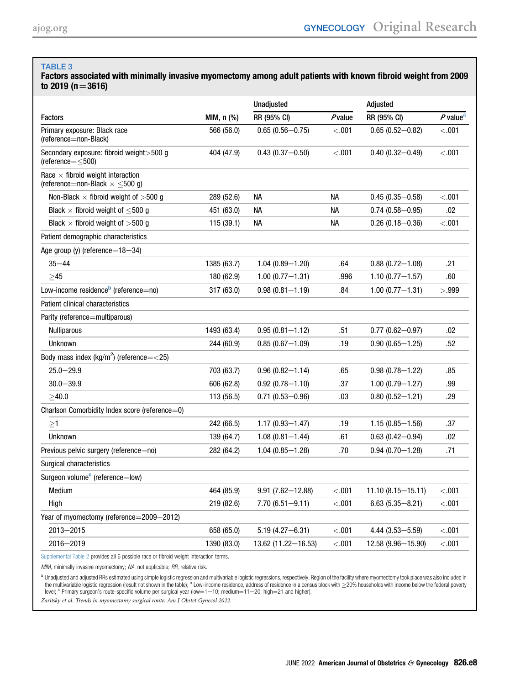#### <span id="page-7-0"></span>TABLE 3

Factors associated with minimally invasive myomectomy among adult patients with known fibroid weight from 2009 to 2019 ( $n = 3616$ )

|                                                                                       |             | <b>Unadjusted</b>      |           | Adjusted              |                        |
|---------------------------------------------------------------------------------------|-------------|------------------------|-----------|-----------------------|------------------------|
| <b>Factors</b>                                                                        | MIM, n (%)  | RR (95% CI)            | $P$ value | RR (95% CI)           | $P$ value <sup>a</sup> |
| Primary exposure: Black race<br>(reference=non-Black)                                 | 566 (56.0)  | $0.65(0.56 - 0.75)$    | < 0.001   | $0.65(0.52 - 0.82)$   | < 0.001                |
| Secondary exposure: fibroid weight > 500 g<br>(reference= $\leq$ 500)                 | 404 (47.9)  | $0.43(0.37 - 0.50)$    | < 0.001   | $0.40(0.32 - 0.49)$   | < 0.001                |
| Race $\times$ fibroid weight interaction<br>(reference=non-Black $\times \leq 500$ g) |             |                        |           |                       |                        |
| Non-Black $\times$ fibroid weight of $>500$ g                                         | 289 (52.6)  | NА                     | <b>NA</b> | $0.45(0.35 - 0.58)$   | < .001                 |
| Black $\times$ fibroid weight of $\leq$ 500 g                                         | 451 (63.0)  | NА                     | NА        | $0.74(0.58 - 0.95)$   | .02                    |
| Black $\times$ fibroid weight of $>500$ g                                             | 115(39.1)   | NА                     | <b>NA</b> | $0.26(0.18 - 0.36)$   | < 0.001                |
| Patient demographic characteristics                                                   |             |                        |           |                       |                        |
| Age group (y) (reference= $18-34$ )                                                   |             |                        |           |                       |                        |
| $35 - 44$                                                                             | 1385 (63.7) | $1.04(0.89 - 1.20)$    | .64       | $0.88(0.72 - 1.08)$   | .21                    |
| >45                                                                                   | 180 (62.9)  | $1.00(0.77 - 1.31)$    | .996      | $1.10(0.77 - 1.57)$   | .60                    |
| Low-income residence $b$ (reference=no)                                               | 317 (63.0)  | $0.98(0.81 - 1.19)$    | .84       | $1.00(0.77 - 1.31)$   | >.999                  |
| Patient clinical characteristics                                                      |             |                        |           |                       |                        |
| Parity (reference=multiparous)                                                        |             |                        |           |                       |                        |
| <b>Nulliparous</b>                                                                    | 1493 (63.4) | $0.95(0.81 - 1.12)$    | .51       | $0.77(0.62 - 0.97)$   | .02                    |
| <b>Unknown</b>                                                                        | 244 (60.9)  | $0.85(0.67 - 1.09)$    | .19       | $0.90(0.65 - 1.25)$   | .52                    |
| Body mass index (kg/m <sup>2</sup> ) (reference= $<$ 25)                              |             |                        |           |                       |                        |
| $25.0 - 29.9$                                                                         | 703 (63.7)  | $0.96(0.82 - 1.14)$    | .65       | $0.98(0.78 - 1.22)$   | .85                    |
| $30.0 - 39.9$                                                                         | 606 (62.8)  | $0.92(0.78 - 1.10)$    | .37       | $1.00(0.79 - 1.27)$   | .99                    |
| >40.0                                                                                 | 113 (56.5)  | $0.71(0.53 - 0.96)$    | .03       | $0.80(0.52 - 1.21)$   | .29                    |
| Charlson Comorbidity Index score (reference=0)                                        |             |                        |           |                       |                        |
| $\geq$ 1                                                                              | 242 (66.5)  | $1.17(0.93 - 1.47)$    | .19       | $1.15(0.85 - 1.56)$   | .37                    |
| <b>Unknown</b>                                                                        | 139 (64.7)  | $1.08(0.81 - 1.44)$    | .61       | $0.63(0.42 - 0.94)$   | .02                    |
| Previous pelvic surgery (reference=no)                                                | 282 (64.2)  | $1.04(0.85 - 1.28)$    | .70       | $0.94(0.70 - 1.28)$   | .71                    |
| Surgical characteristics                                                              |             |                        |           |                       |                        |
| Surgeon volume <sup>c</sup> (reference=low)                                           |             |                        |           |                       |                        |
| Medium                                                                                | 464 (85.9)  | $9.91(7.62 - 12.88)$   | < .001    | $11.10(8.15 - 15.11)$ | < .001                 |
| High                                                                                  | 219 (82.6)  | $7.70(6.51 - 9.11)$    | < .001    | $6.63(5.35 - 8.21)$   | < 0.001                |
| Year of myomectomy (reference=2009-2012)                                              |             |                        |           |                       |                        |
| $2013 - 2015$                                                                         | 658 (65.0)  | $5.19(4.27 - 6.31)$    | < 0.001   | $4.44(3.53 - 5.59)$   | $<$ .001               |
| $2016 - 2019$                                                                         | 1390 (83.0) | $13.62(11.22 - 16.53)$ | < 0.001   | $12.58(9.96 - 15.90)$ | < 0.001                |
|                                                                                       |             |                        |           |                       |                        |

[Supplemental Table 2](#page-10-1) provides all 6 possible race or fibroid weight interaction terms.

MIM, minimally invasive myomectomy; NA, not applicable; RR, relative risk.

<span id="page-7-2"></span><span id="page-7-1"></span><sup>a</sup> Unadjusted and adjusted RRs estimated using simple logistic regression and multivariable logistic regressions, respectively. Region of the facility where myomectomy took place was also included in the table); <sup>b</sup> Low-

<span id="page-7-3"></span>Zaritsky et al. Trends in myomectomy surgical route. Am J Obstet Gynecol 2022.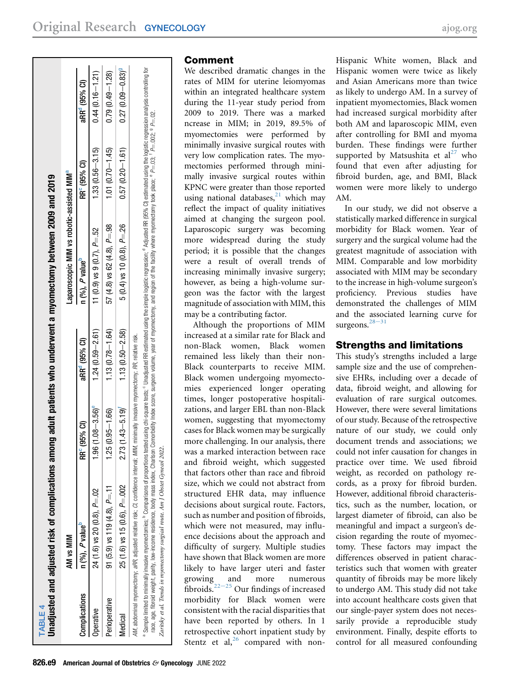<span id="page-8-0"></span>

| Laparoscopic MIM vs robotic-assisted MIM <sup>a</sup>     |                                  |
|-----------------------------------------------------------|----------------------------------|
| RR <sup>e</sup> (95% Cl)                                  | aRR <sup>e</sup> (95% Cl)        |
| $1.33(0.56 - 3.15)$                                       | $0.44(0.16 - 1.21)$              |
| $1.01 (0.70 - 1.45)$<br>$57(4.8)$ vs $62(4.8)$ , $P = 98$ | $0.79(0.49 - 1.28)$              |
| $0.57(0.20 - 1.61)$<br>$5(0.4)$ vs 10 $(0.8)$ , $P = 26$  | $0.27(0.09 - 0.83)$ <sup>9</sup> |
|                                                           |                                  |
|                                                           |                                  |

# Comment

<span id="page-8-2"></span><span id="page-8-1"></span>We described dramatic changes in the rates of MIM for uterine leiomyomas within an integrated healthcare system during the 11-year study period from 2009 to 2019. There was a marked ncrease in MIM; in 2019, 89.5% of myomectomies were performed by minimally invasive surgical routes with very low complication rates. The myomectomies performed through minimally invasive surgical routes within KPNC were greater than those reported using national databases, $^{21}$  $^{21}$  $^{21}$  which may reflect the impact of quality initiatives aimed at changing the surgeon pool. Laparoscopic surgery was becoming more widespread during the study period; it is possible that the changes were a result of overall trends of increasing minimally invasive surgery; however, as being a high-volume surgeon was the factor with the largest magnitude of association with MIM, this may be a contributing factor.

Although the proportions of MIM increased at a similar rate for Black and non-Black women, Black women remained less likely than their non-Black counterparts to receive MIM. Black women undergoing myomectomies experienced longer operating times, longer postoperative hospitalizations, and larger EBL than non-Black women, suggesting that myomectomy cases for Black women may be surgically more challenging. In our analysis, there was a marked interaction between race and fibroid weight, which suggested that factors other than race and fibroid size, which we could not abstract from structured EHR data, may influence decisions about surgical route. Factors, such as number and position of fibroids, which were not measured, may influence decisions about the approach and difficulty of surgery. Multiple studies have shown that Black women are more likely to have larger uteri and faster growing and more numerous fibroids.<sup>22-[25](#page-9-14)</sup> Our findings of increased morbidity for Black women were consistent with the racial disparities that have been reported by others. In 1 retrospective cohort inpatient study by Stentz et al, $^{26}$  $^{26}$  $^{26}$  compared with non-

Hispanic White women, Black and Hispanic women were twice as likely and Asian Americans more than twice as likely to undergo AM. In a survey of inpatient myomectomies, Black women had increased surgical morbidity after both AM and laparoscopic MIM, even after controlling for BMI and myoma burden. These findings were further supported by Matsushita et  $al^{27}$  $al^{27}$  $al^{27}$  who found that even after adjusting for fibroid burden, age, and BMI, Black women were more likely to undergo AM.

In our study, we did not observe a statistically marked difference in surgical morbidity for Black women. Year of surgery and the surgical volume had the greatest magnitude of association with MIM. Comparable and low morbidity associated with MIM may be secondary to the increase in high-volume surgeon's proficiency. Previous studies have demonstrated the challenges of MIM and the [assoc](#page-9-17)iated learning curve for surgeons. $28-31$ 

# Strengths and limitations

This study's strengths included a large sample size and the use of comprehensive EHRs, including over a decade of data, fibroid weight, and allowing for evaluation of rare surgical outcomes. However, there were several limitations of our study. Because of the retrospective nature of our study, we could only document trends and associations; we could not infer causation for changes in practice over time. We used fibroid weight, as recorded on pathology records, as a proxy for fibroid burden. However, additional fibroid characteristics, such as the number, location, or largest diameter of fibroid, can also be meaningful and impact a surgeon's decision regarding the route of myomectomy. These factors may impact the differences observed in patient characteristics such that women with greater quantity of fibroids may be more likely to undergo AM. This study did not take into account healthcare costs given that our single-payer system does not necessarily provide a reproducible study environment. Finally, despite efforts to control for all measured confounding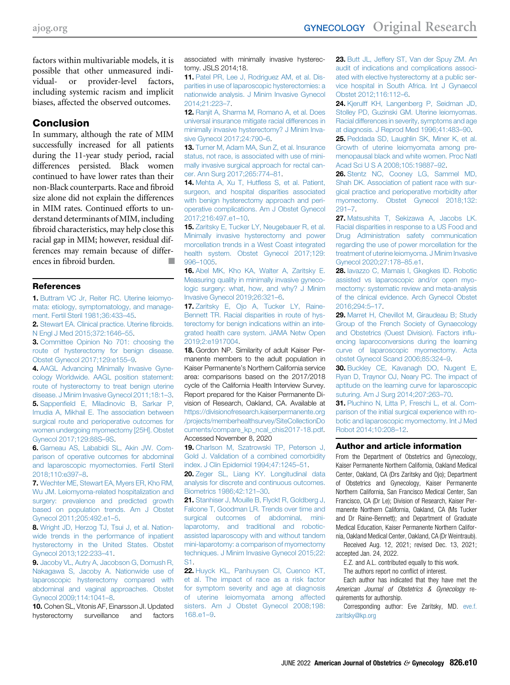factors within multivariable models, it is possible that other unmeasured individual- or provider-level factors, including systemic racism and implicit biases, affected the observed outcomes.

#### Conclusion

In summary, although the rate of MIM successfully increased for all patients during the 11-year study period, racial differences persisted. Black women continued to have lower rates than their non-Black counterparts. Race and fibroid size alone did not explain the differences in MIM rates. Continued efforts to understand determinants of MIM, including fibroid characteristics, may help close this racial gap in MIM; however, residual differences may remain because of differences in fibroid burden.

#### <span id="page-9-0"></span>References

1. [Buttram VC Jr, Reiter RC. Uterine leiomyo](http://refhub.elsevier.com/S0002-9378(22)00046-1/sref1)[mata: etiology, symptomatology, and manage](http://refhub.elsevier.com/S0002-9378(22)00046-1/sref1)[ment. Fertil Steril 1981;36:433](http://refhub.elsevier.com/S0002-9378(22)00046-1/sref1)–45.

<span id="page-9-2"></span><span id="page-9-1"></span>2. [Stewart EA. Clinical practice. Uterine](http://refhub.elsevier.com/S0002-9378(22)00046-1/sref2) fibroids. [N Engl J Med 2015;372:1646](http://refhub.elsevier.com/S0002-9378(22)00046-1/sref2)–55.

**3.** [Committee Opinion No 701: choosing the](http://refhub.elsevier.com/S0002-9378(22)00046-1/sref3) [route of hysterectomy for benign disease.](http://refhub.elsevier.com/S0002-9378(22)00046-1/sref3) [Obstet Gynecol 2017;129:e155](http://refhub.elsevier.com/S0002-9378(22)00046-1/sref3)–9.

<span id="page-9-4"></span><span id="page-9-3"></span>4. [AAGL Advancing Minimally Invasive Gyne](http://refhub.elsevier.com/S0002-9378(22)00046-1/sref4)[cology Worldwide. AAGL position statement:](http://refhub.elsevier.com/S0002-9378(22)00046-1/sref4) [route of hysterectomy to treat benign uterine](http://refhub.elsevier.com/S0002-9378(22)00046-1/sref4) [disease. J Minim Invasive Gynecol 2011;18:1](http://refhub.elsevier.com/S0002-9378(22)00046-1/sref4)–3. 5. Sappenfi[eld E, Miladinovic B, Sarkar P,](http://refhub.elsevier.com/S0002-9378(22)00046-1/sref5) [Imudia A, Mikhail E. The association between](http://refhub.elsevier.com/S0002-9378(22)00046-1/sref5) [surgical route and perioperative outcomes for](http://refhub.elsevier.com/S0002-9378(22)00046-1/sref5) [women undergoing myomectomy \[25H\]. Obstet](http://refhub.elsevier.com/S0002-9378(22)00046-1/sref5) [Gynecol 2017;129:88S](http://refhub.elsevier.com/S0002-9378(22)00046-1/sref5)–9S.

<span id="page-9-5"></span>6. [Garneau AS, Lababidi SL, Akin JW. Com](http://refhub.elsevier.com/S0002-9378(22)00046-1/sref6)[parison of operative outcomes for abdominal](http://refhub.elsevier.com/S0002-9378(22)00046-1/sref6) [and laparoscopic myomectomies. Fertil Steril](http://refhub.elsevier.com/S0002-9378(22)00046-1/sref6) [2018;110:e397](http://refhub.elsevier.com/S0002-9378(22)00046-1/sref6)–8.

<span id="page-9-6"></span>7. [Wechter ME, Stewart EA, Myers ER, Kho RM,](http://refhub.elsevier.com/S0002-9378(22)00046-1/sref7) [Wu JM. Leiomyoma-related hospitalization and](http://refhub.elsevier.com/S0002-9378(22)00046-1/sref7) [surgery: prevalence and predicted growth](http://refhub.elsevier.com/S0002-9378(22)00046-1/sref7) [based on population trends. Am J Obstet](http://refhub.elsevier.com/S0002-9378(22)00046-1/sref7) [Gynecol 2011;205:492.e1](http://refhub.elsevier.com/S0002-9378(22)00046-1/sref7)–5.

<span id="page-9-7"></span>8. [Wright JD, Herzog TJ, Tsui J, et al. Nation](http://refhub.elsevier.com/S0002-9378(22)00046-1/sref8)[wide trends in the performance of inpatient](http://refhub.elsevier.com/S0002-9378(22)00046-1/sref8) [hysterectomy in the United States. Obstet](http://refhub.elsevier.com/S0002-9378(22)00046-1/sref8) [Gynecol 2013;122:233](http://refhub.elsevier.com/S0002-9378(22)00046-1/sref8)–41.

9. [Jacoby VL, Autry A, Jacobson G, Domush R,](http://refhub.elsevier.com/S0002-9378(22)00046-1/sref9) [Nakagawa S, Jacoby A. Nationwide use of](http://refhub.elsevier.com/S0002-9378(22)00046-1/sref9) [laparoscopic hysterectomy compared with](http://refhub.elsevier.com/S0002-9378(22)00046-1/sref9) [abdominal and vaginal approaches. Obstet](http://refhub.elsevier.com/S0002-9378(22)00046-1/sref9) [Gynecol 2009;114:1041](http://refhub.elsevier.com/S0002-9378(22)00046-1/sref9)–8.

10. Cohen SL, Vitonis AF, Einarsson JI. Updated hysterectomy surveillance and factors associated with minimally invasive hysterectomy. JSLS 2014;18.

11. [Patel PR, Lee J, Rodriguez AM, et al. Dis](http://refhub.elsevier.com/S0002-9378(22)00046-1/sref11)[parities in use of laparoscopic hysterectomies: a](http://refhub.elsevier.com/S0002-9378(22)00046-1/sref11) [nationwide analysis. J Minim Invasive Gynecol](http://refhub.elsevier.com/S0002-9378(22)00046-1/sref11) [2014;21:223](http://refhub.elsevier.com/S0002-9378(22)00046-1/sref11)–7.

12. [Ranjit A, Sharma M, Romano A, et al. Does](http://refhub.elsevier.com/S0002-9378(22)00046-1/sref12) [universal insurance mitigate racial differences in](http://refhub.elsevier.com/S0002-9378(22)00046-1/sref12) [minimally invasive hysterectomy? J Minim Inva](http://refhub.elsevier.com/S0002-9378(22)00046-1/sref12)[sive Gynecol 2017;24:790](http://refhub.elsevier.com/S0002-9378(22)00046-1/sref12)–6.

13. [Turner M, Adam MA, Sun Z, et al. Insurance](http://refhub.elsevier.com/S0002-9378(22)00046-1/sref13) [status, not race, is associated with use of mini](http://refhub.elsevier.com/S0002-9378(22)00046-1/sref13)[mally invasive surgical approach for rectal can](http://refhub.elsevier.com/S0002-9378(22)00046-1/sref13)[cer. Ann Surg 2017;265:774](http://refhub.elsevier.com/S0002-9378(22)00046-1/sref13)–81.

14. Mehta A, Xu T, Hutfl[ess S, et al. Patient,](http://refhub.elsevier.com/S0002-9378(22)00046-1/sref14) [surgeon, and hospital disparities associated](http://refhub.elsevier.com/S0002-9378(22)00046-1/sref14) [with benign hysterectomy approach and peri](http://refhub.elsevier.com/S0002-9378(22)00046-1/sref14)[operative complications. Am J Obstet Gynecol](http://refhub.elsevier.com/S0002-9378(22)00046-1/sref14) [2017;216:497.e1](http://refhub.elsevier.com/S0002-9378(22)00046-1/sref14)–10.

<span id="page-9-8"></span>15. [Zaritsky E, Tucker LY, Neugebauer R, et al.](http://refhub.elsevier.com/S0002-9378(22)00046-1/sref15) [Minimally invasive hysterectomy and power](http://refhub.elsevier.com/S0002-9378(22)00046-1/sref15) [morcellation trends in a West Coast integrated](http://refhub.elsevier.com/S0002-9378(22)00046-1/sref15) [health system. Obstet Gynecol 2017;129:](http://refhub.elsevier.com/S0002-9378(22)00046-1/sref15) 996–[1005.](http://refhub.elsevier.com/S0002-9378(22)00046-1/sref15)

<span id="page-9-9"></span>16. [Abel MK, Kho KA, Walter A, Zaritsky E.](http://refhub.elsevier.com/S0002-9378(22)00046-1/sref16) [Measuring quality in minimally invasive gyneco](http://refhub.elsevier.com/S0002-9378(22)00046-1/sref16)[logic surgery: what, how, and why? J Minim](http://refhub.elsevier.com/S0002-9378(22)00046-1/sref16) [Invasive Gynecol 2019;26:321](http://refhub.elsevier.com/S0002-9378(22)00046-1/sref16)–6.

17. [Zaritsky E, Ojo A, Tucker LY, Raine-](http://refhub.elsevier.com/S0002-9378(22)00046-1/sref17)[Bennett TR. Racial disparities in route of hys](http://refhub.elsevier.com/S0002-9378(22)00046-1/sref17)[terectomy for benign indications within an inte](http://refhub.elsevier.com/S0002-9378(22)00046-1/sref17)[grated health care system. JAMA Netw Open](http://refhub.elsevier.com/S0002-9378(22)00046-1/sref17) [2019;2:e1917004](http://refhub.elsevier.com/S0002-9378(22)00046-1/sref17).

<span id="page-9-10"></span>18. Gordon NP. Similarity of adult Kaiser Permanente members to the adult population in Kaiser Permanente's Northern California service area: comparisons based on the 2017/2018 cycle of the California Health Interview Survey. Report prepared for the Kaiser Permanente Division of Research, Oakland, CA. Available at [https://divisionofresearch.kaiserpermanente.org](https://divisionofresearch.kaiserpermanente.org/projects/memberhealthsurvey/SiteCollectionDocuments/compare_kp_ncal_chis2017-18.pdf) [/projects/memberhealthsurvey/SiteCollectionDo](https://divisionofresearch.kaiserpermanente.org/projects/memberhealthsurvey/SiteCollectionDocuments/compare_kp_ncal_chis2017-18.pdf) [cuments/compare\\_kp\\_ncal\\_chis2017-18.pdf](https://divisionofresearch.kaiserpermanente.org/projects/memberhealthsurvey/SiteCollectionDocuments/compare_kp_ncal_chis2017-18.pdf). Accessed November 8, 2020

<span id="page-9-11"></span>19. [Charlson M, Szatrowski TP, Peterson J,](http://refhub.elsevier.com/S0002-9378(22)00046-1/sref19) [Gold J. Validation of a combined comorbidity](http://refhub.elsevier.com/S0002-9378(22)00046-1/sref19) [index. J Clin Epidemiol 1994;47:1245](http://refhub.elsevier.com/S0002-9378(22)00046-1/sref19)–51.

<span id="page-9-12"></span>20. [Zeger SL, Liang KY. Longitudinal data](http://refhub.elsevier.com/S0002-9378(22)00046-1/sref20) [analysis for discrete and continuous outcomes.](http://refhub.elsevier.com/S0002-9378(22)00046-1/sref20) [Biometrics 1986;42:121](http://refhub.elsevier.com/S0002-9378(22)00046-1/sref20)–30.

<span id="page-9-13"></span>21. [Stanhiser J, Mouille B, Flyckt R, Goldberg J,](http://refhub.elsevier.com/S0002-9378(22)00046-1/sref21) [Falcone T, Goodman LR. Trends over time and](http://refhub.elsevier.com/S0002-9378(22)00046-1/sref21) [surgical outcomes of abdominal, mini](http://refhub.elsevier.com/S0002-9378(22)00046-1/sref21)[laparotomy, and traditional and robotic](http://refhub.elsevier.com/S0002-9378(22)00046-1/sref21)[assisted laparoscopy with and without tandem](http://refhub.elsevier.com/S0002-9378(22)00046-1/sref21) [mini-laparotomy: a comparison of myomectomy](http://refhub.elsevier.com/S0002-9378(22)00046-1/sref21) [techniques. J Minim Invasive Gynecol 2015;22:](http://refhub.elsevier.com/S0002-9378(22)00046-1/sref21) [S1.](http://refhub.elsevier.com/S0002-9378(22)00046-1/sref21)

<span id="page-9-14"></span>22. [Huyck KL, Panhuysen CI, Cuenco KT,](http://refhub.elsevier.com/S0002-9378(22)00046-1/sref22) [et al. The impact of race as a risk factor](http://refhub.elsevier.com/S0002-9378(22)00046-1/sref22) [for symptom severity and age at diagnosis](http://refhub.elsevier.com/S0002-9378(22)00046-1/sref22) [of uterine leiomyomata among affected](http://refhub.elsevier.com/S0002-9378(22)00046-1/sref22) [sisters. Am J Obstet Gynecol 2008;198:](http://refhub.elsevier.com/S0002-9378(22)00046-1/sref22) [168.e1](http://refhub.elsevier.com/S0002-9378(22)00046-1/sref22)–9.

23. [Butt JL, Jeffery ST, Van der Spuy ZM. An](http://refhub.elsevier.com/S0002-9378(22)00046-1/sref23) [audit of indications and complications associ](http://refhub.elsevier.com/S0002-9378(22)00046-1/sref23)[ated with elective hysterectomy at a public ser](http://refhub.elsevier.com/S0002-9378(22)00046-1/sref23)[vice hospital in South Africa. Int J Gynaecol](http://refhub.elsevier.com/S0002-9378(22)00046-1/sref23) [Obstet 2012;116:112](http://refhub.elsevier.com/S0002-9378(22)00046-1/sref23)–6.

24. [Kjerulff KH, Langenberg P, Seidman JD,](http://refhub.elsevier.com/S0002-9378(22)00046-1/sref24) [Stolley PD, Guzinski GM. Uterine leiomyomas.](http://refhub.elsevier.com/S0002-9378(22)00046-1/sref24) [Racial differences in severity, symptoms and age](http://refhub.elsevier.com/S0002-9378(22)00046-1/sref24) [at diagnosis. J Reprod Med 1996;41:483](http://refhub.elsevier.com/S0002-9378(22)00046-1/sref24)–90.

25. [Peddada SD, Laughlin SK, Miner K, et al.](http://refhub.elsevier.com/S0002-9378(22)00046-1/sref25) [Growth of uterine leiomyomata among pre](http://refhub.elsevier.com/S0002-9378(22)00046-1/sref25)[menopausal black and white women. Proc Natl](http://refhub.elsevier.com/S0002-9378(22)00046-1/sref25) [Acad Sci U S A 2008;105:19887](http://refhub.elsevier.com/S0002-9378(22)00046-1/sref25)–92.

<span id="page-9-15"></span>26. [Stentz NC, Cooney LG, Sammel MD,](http://refhub.elsevier.com/S0002-9378(22)00046-1/sref26) [Shah DK. Association of patient race with sur](http://refhub.elsevier.com/S0002-9378(22)00046-1/sref26)[gical practice and perioperative morbidity after](http://refhub.elsevier.com/S0002-9378(22)00046-1/sref26) [myomectomy. Obstet Gynecol 2018;132:](http://refhub.elsevier.com/S0002-9378(22)00046-1/sref26) [291](http://refhub.elsevier.com/S0002-9378(22)00046-1/sref26)–7.

<span id="page-9-16"></span>27. [Matsushita T, Sekizawa A, Jacobs LK.](http://refhub.elsevier.com/S0002-9378(22)00046-1/sref27) [Racial disparities in response to a US Food and](http://refhub.elsevier.com/S0002-9378(22)00046-1/sref27) [Drug Administration safety communication](http://refhub.elsevier.com/S0002-9378(22)00046-1/sref27) [regarding the use of power morcellation for the](http://refhub.elsevier.com/S0002-9378(22)00046-1/sref27) [treatment of uterine leiomyoma. J Minim Invasive](http://refhub.elsevier.com/S0002-9378(22)00046-1/sref27) [Gynecol 2020;27:178](http://refhub.elsevier.com/S0002-9378(22)00046-1/sref27)–85.e1.

<span id="page-9-17"></span>28. [Iavazzo C, Mamais I, Gkegkes ID. Robotic](http://refhub.elsevier.com/S0002-9378(22)00046-1/sref28) [assisted vs laparoscopic and/or open myo](http://refhub.elsevier.com/S0002-9378(22)00046-1/sref28)[mectomy: systematic review and meta-analysis](http://refhub.elsevier.com/S0002-9378(22)00046-1/sref28) [of the clinical evidence. Arch Gynecol Obstet](http://refhub.elsevier.com/S0002-9378(22)00046-1/sref28) [2016;294:5](http://refhub.elsevier.com/S0002-9378(22)00046-1/sref28)–17.

29. [Marret H, Chevillot M, Giraudeau B; Study](http://refhub.elsevier.com/S0002-9378(22)00046-1/sref29) [Group of the French Society of Gynaecology](http://refhub.elsevier.com/S0002-9378(22)00046-1/sref29) [and Obstetrics \(Ouest Division\). Factors in](http://refhub.elsevier.com/S0002-9378(22)00046-1/sref29)flu[encing laparoconversions during the learning](http://refhub.elsevier.com/S0002-9378(22)00046-1/sref29) [curve of laparoscopic myomectomy. Acta](http://refhub.elsevier.com/S0002-9378(22)00046-1/sref29) [obstet Gynecol Scand 2006;85:324](http://refhub.elsevier.com/S0002-9378(22)00046-1/sref29)–9.

30. [Buckley CE, Kavanagh DO, Nugent E,](http://refhub.elsevier.com/S0002-9378(22)00046-1/sref30) [Ryan D, Traynor OJ, Neary PC. The impact of](http://refhub.elsevier.com/S0002-9378(22)00046-1/sref30) [aptitude on the learning curve for laparoscopic](http://refhub.elsevier.com/S0002-9378(22)00046-1/sref30) [suturing. Am J Surg 2014;207:263](http://refhub.elsevier.com/S0002-9378(22)00046-1/sref30)–70.

31. [Pluchino N, Litta P, Freschi L, et al. Com](http://refhub.elsevier.com/S0002-9378(22)00046-1/sref31)[parison of the initial surgical experience with ro](http://refhub.elsevier.com/S0002-9378(22)00046-1/sref31)[botic and laparoscopic myomectomy. Int J Med](http://refhub.elsevier.com/S0002-9378(22)00046-1/sref31) [Robot 2014;10:208](http://refhub.elsevier.com/S0002-9378(22)00046-1/sref31)–12.

#### Author and article information

From the Department of Obstetrics and Gynecology, Kaiser Permanente Northern California, Oakland Medical Center, Oakland, CA (Drs Zaritsky and Ojo); Department of Obstetrics and Gynecology, Kaiser Permanente Northern California, San Francisco Medical Center, San Francisco, CA (Dr Le); Division of Research, Kaiser Permanente Northern California, Oakland, CA (Ms Tucker and Dr Raine-Bennett); and Department of Graduate Medical Education, Kaiser Permanente Northern California, Oakland Medical Center, Oakland, CA (Dr Weintraub).

Received Aug. 12, 2021; revised Dec. 13, 2021; accepted Jan. 24, 2022.

E.Z. and A.L. contributed equally to this work.

The authors report no conflict of interest.

Each author has indicated that they have met the American Journal of Obstetrics & Gynecology requirements for authorship.

Corresponding author: Eve Zaritsky, MD. [eve.f.](mailto:eve.f.zaritsky@kp.org) [zaritsky@kp.org](mailto:eve.f.zaritsky@kp.org)